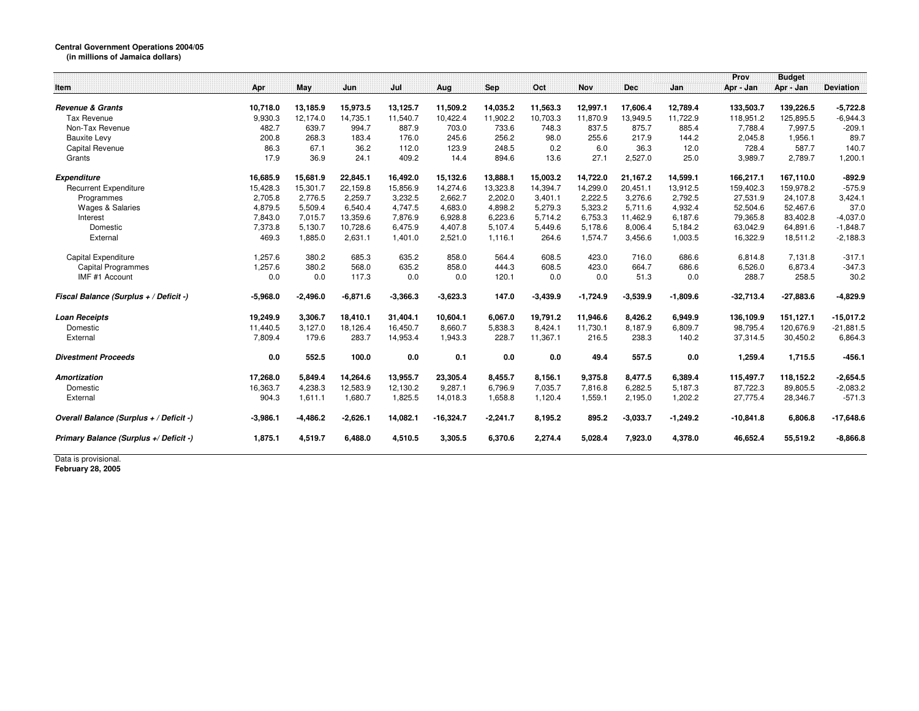## **Central Government Operations 2004/05 (in millions of Jamaica dollars)**

|                                         |            |            |            |            |             |            |            |            |            |            | Prov        | <b>Budget</b> |                  |
|-----------------------------------------|------------|------------|------------|------------|-------------|------------|------------|------------|------------|------------|-------------|---------------|------------------|
| Item                                    | Apr        | May        | Jun        | Jul        | Aug         | Sep        | Oct        | <b>Nov</b> | <b>Dec</b> | Jan        | Apr - Jan   | Apr - Jan     | <b>Deviation</b> |
|                                         |            |            |            |            |             |            |            |            |            |            |             |               |                  |
| <b>Revenue &amp; Grants</b>             | 10,718.0   | 13,185.9   | 15,973.5   | 13,125.7   | 11,509.2    | 14,035.2   | 11,563.3   | 12,997.1   | 17,606.4   | 12,789.4   | 133,503.7   | 139,226.5     | $-5,722.8$       |
| Tax Revenue                             | 9,930.3    | 12,174.0   | 14,735.1   | 11,540.7   | 10,422.4    | 11,902.2   | 10,703.3   | 11,870.9   | 13,949.5   | 11,722.9   | 118,951.2   | 125,895.5     | $-6,944.3$       |
| Non-Tax Revenue                         | 482.7      | 639.7      | 994.7      | 887.9      | 703.0       | 733.6      | 748.3      | 837.5      | 875.7      | 885.4      | 7,788.4     | 7,997.5       | $-209.1$         |
| <b>Bauxite Levy</b>                     | 200.8      | 268.3      | 183.4      | 176.0      | 245.6       | 256.2      | 98.0       | 255.6      | 217.9      | 144.2      | 2,045.8     | 1,956.1       | 89.7             |
| Capital Revenue                         | 86.3       | 67.1       | 36.2       | 112.0      | 123.9       | 248.5      | 0.2        | 6.0        | 36.3       | 12.0       | 728.4       | 587.7         | 140.7            |
| Grants                                  | 17.9       | 36.9       | 24.1       | 409.2      | 14.4        | 894.6      | 13.6       | 27.1       | 2,527.0    | 25.0       | 3,989.7     | 2,789.7       | 1,200.1          |
| <b>Expenditure</b>                      | 16,685.9   | 15,681.9   | 22,845.1   | 16,492.0   | 15,132.6    | 13,888.1   | 15,003.2   | 14,722.0   | 21.167.2   | 14,599.1   | 166,217.1   | 167.110.0     | $-892.9$         |
| <b>Recurrent Expenditure</b>            | 15,428.3   | 15,301.7   | 22,159.8   | 15,856.9   | 14,274.6    | 13,323.8   | 14,394.7   | 14,299.0   | 20,451.1   | 13,912.5   | 159,402.3   | 159,978.2     | $-575.9$         |
| Programmes                              | 2,705.8    | 2.776.5    | 2,259.7    | 3,232.5    | 2,662.7     | 2,202.0    | 3,401.1    | 2,222.5    | 3,276.6    | 2,792.5    | 27,531.9    | 24,107.8      | 3,424.1          |
| <b>Wages &amp; Salaries</b>             | 4,879.5    | 5,509.4    | 6,540.4    | 4,747.5    | 4,683.0     | 4,898.2    | 5,279.3    | 5,323.2    | 5,711.6    | 4,932.4    | 52,504.6    | 52,467.6      | 37.0             |
| Interest                                | 7,843.0    | 7,015.7    | 13,359.6   | 7.876.9    | 6,928.8     | 6,223.6    | 5.714.2    | 6,753.3    | 11.462.9   | 6,187.6    | 79,365.8    | 83,402.8      | $-4,037.0$       |
| Domestic                                | 7,373.8    | 5,130.7    | 10,728.6   | 6,475.9    | 4,407.8     | 5,107.4    | 5,449.6    | 5,178.6    | 8,006.4    | 5,184.2    | 63,042.9    | 64,891.6      | $-1,848.7$       |
| External                                | 469.3      | 1,885.0    | 2,631.1    | 1,401.0    | 2,521.0     | 1.116.1    | 264.6      | 1,574.7    | 3,456.6    | 1,003.5    | 16,322.9    | 18,511.2      | $-2,188.3$       |
| Capital Expenditure                     | 1.257.6    | 380.2      | 685.3      | 635.2      | 858.0       | 564.4      | 608.5      | 423.0      | 716.0      | 686.6      | 6.814.8     | 7.131.8       | $-317.1$         |
| <b>Capital Programmes</b>               | 1,257.6    | 380.2      | 568.0      | 635.2      | 858.0       | 444.3      | 608.5      | 423.0      | 664.7      | 686.6      | 6,526.0     | 6,873.4       | $-347.3$         |
| IMF #1 Account                          | 0.0        | 0.0        | 117.3      | 0.0        | 0.0         | 120.1      | 0.0        | 0.0        | 51.3       | 0.0        | 288.7       | 258.5         | 30.2             |
| Fiscal Balance (Surplus + / Deficit -)  | $-5,968.0$ | $-2,496.0$ | $-6,871.6$ | $-3,366.3$ | $-3,623.3$  | 147.0      | $-3,439.9$ | $-1,724.9$ | $-3,539.9$ | $-1,809.6$ | $-32,713.4$ | $-27,883.6$   | $-4,829.9$       |
| <b>Loan Receipts</b>                    | 19,249.9   | 3,306.7    | 18,410.1   | 31,404.1   | 10,604.1    | 6,067.0    | 19,791.2   | 11,946.6   | 8,426.2    | 6,949.9    | 136,109.9   | 151,127.1     | $-15,017.2$      |
| Domestic                                | 11,440.5   | 3,127.0    | 18,126.4   | 16,450.7   | 8,660.7     | 5,838.3    | 8,424.1    | 11,730.1   | 8,187.9    | 6,809.7    | 98,795.4    | 120,676.9     | $-21,881.5$      |
| External                                | 7,809.4    | 179.6      | 283.7      | 14,953.4   | 1,943.3     | 228.7      | 11,367.1   | 216.5      | 238.3      | 140.2      | 37,314.5    | 30,450.2      | 6,864.3          |
| <b>Divestment Proceeds</b>              | 0.0        | 552.5      | 100.0      | 0.0        | 0.1         | 0.0        | 0.0        | 49.4       | 557.5      | 0.0        | 1,259.4     | 1,715.5       | $-456.1$         |
| <b>Amortization</b>                     | 17,268.0   | 5,849.4    | 14,264.6   | 13,955.7   | 23,305.4    | 8,455.7    | 8,156.1    | 9,375.8    | 8,477.5    | 6,389.4    | 115,497.7   | 118,152.2     | $-2,654.5$       |
| Domestic                                | 16,363.7   | 4,238.3    | 12,583.9   | 12,130.2   | 9,287.1     | 6,796.9    | 7,035.7    | 7,816.8    | 6,282.5    | 5,187.3    | 87,722.3    | 89,805.5      | $-2,083.2$       |
| External                                | 904.3      | 1,611.1    | 1,680.7    | 1,825.5    | 14,018.3    | 1,658.8    | 1,120.4    | 1,559.1    | 2,195.0    | 1,202.2    | 27,775.4    | 28,346.7      | $-571.3$         |
| Overall Balance (Surplus + / Deficit -) | $-3,986.1$ | $-4,486.2$ | $-2,626.1$ | 14,082.1   | $-16,324.7$ | $-2,241.7$ | 8,195.2    | 895.2      | $-3,033.7$ | $-1,249.2$ | $-10,841.8$ | 6,806.8       | $-17,648.6$      |
| Primary Balance (Surplus +/ Deficit -)  | 1.875.1    | 4,519.7    | 6.488.0    | 4,510.5    | 3,305.5     | 6,370.6    | 2,274.4    | 5,028.4    | 7,923.0    | 4,378.0    | 46,652.4    | 55,519.2      | $-8,866.8$       |

Data is provisional. **February 28, 2005**